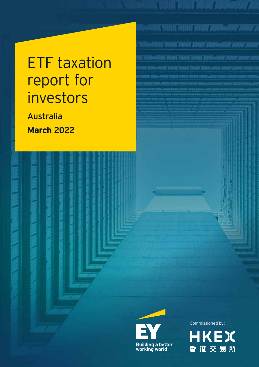# ETF taxation report for investors

Australia **March 2022**





BANK YABA<mark>DI TABAH TARAH TASAN-2000 SEBA</mark>

**WE WANT HEAR WHAT PARASANY 200** 

Antoni Virgili "Virgili Tarang "programmati "program"

.<br>1989. svojna povrat privat popul<sub>n</sub>ačav pr

ACAMACANALYANI 2001-AAV 200

**HKEX** 香港交易所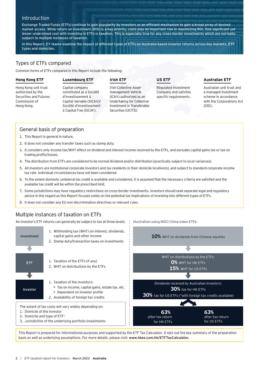# **Introduction**

Exchange Traded Funds (ETFs) continue to gain popularity by investors as an efficient mechanism to gain a broad array of desired market access. While return on investment (ROI) is a key priority, costs play an important role in maximizing ROI. One significant yet lesser understood cost with investing in ETFs is taxation. This is especially true for any cross-border investments which are normally subject to multiple instances of taxation.

In this Report, EY teams examine the impact of different types of ETFs on Australia-based investor returns across key markets, ETF types and domiciles.

# Types of ETFs compared

Common forms of ETFs compared in this Report include the following:

### **Hong Kong ETF**

# **Luxembourg ETF**

# **Irish ETF**

Hong Kong unit trust authorized by the Securities and Futures Commission of Hong Kong.

Capital company constituted as a Société d'Investissement à Capital Variable (SICAV)/ Société d'Investissement à Capital Fixe (SICAF).

#### Irish Collective Assetmanagement Vehicle (ICAV) authorized as an Undertaking for Collective Investment in Transferable Securities (UCITS).

**US ETF**

Illustration using MSCI China Index ETFs:

Regulated Investment Company and satisfies specific requirements.

# **Australian ETF**

Australian unit trust and a managed investment scheme in accordance with the Corporations Act 2001.

# General basis of preparation

- 1. This Report is general in nature.
- 2. It does not consider any transfer taxes such as stamp duty.
- 3. It considers only income tax/WHT effect on dividend and interest income received by the ETFs, and excludes capital gains tax or tax on trading profits/losses.
- 4. The distribution from ETFs are considered to be normal dividend and/or distribution (practically subject to local variances).
- 5. All investors are institutional corporate investors and tax residents in their domicile location(s), and subject to standard corporate income tax rate. Individual circumstances have not been considered.
- 6. To the extent domestic unilateral tax credit is available and considered, it is assumed that the necessary criteria are satisfied and the available tax credit will be within the prescribed limit.
- 7. Some jurisdictions may have regulatory restrictions on cross-border investments. Investors should seek separate legal and regulatory advice in this regard as this Report focuses solely on the potential tax implications of investing into different types of ETFs.
- 8. It does not consider any EU non-discrimination directives or relevant rules.

# Multiple instances of taxation on ETFs

An investor's ETF returns can generally be subject to tax at three levels:



This Report is prepared for informational purposes and supported by the ETF Tax Calculator. It sets out the key summary of the preparation basis as well as underlying assumptions. For more details, please visit: www.hkex.com.hk/ETFTaxCalculator.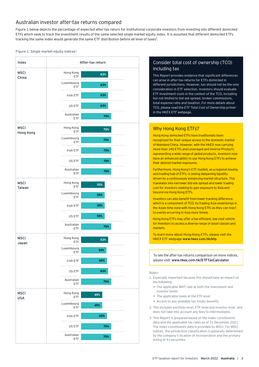# Australian investor after-tax returns compared

Figure 1 below depicts the percentage of expected after-tax return for institutional corporate investors from investing into different domiciled ETFs which seek to track the investment results of the same selected single market equity index. It is assumed that different domiciled ETFs tracking the same index would generate the same ETF distribution before all level of taxes<sup>2</sup>.

#### Figure 1. Single market equity indices<sup>3</sup>



# Consider total cost of ownership (TCO) including tax

This Report provides evidence that significant differences can arise in after-tax returns for ETFs domiciled in different jurisdictions. However, tax should not be the only consideration in ETF selection. Investors should evaluate ETF investment costs in the context of the TCO, including but not limited to bid-ask spread, broker commissions, total expense ratio and taxation. For more details about TCO, please read the *ETF Total Cost of Ownership primer* in the HKEX ETF webpage.

# Why Hong Kong ETFs?

Hong Kong domiciled ETFs have traditionally been recognized for their unique access to the domestic market of Mainland China. However, with the HKEX now carrying more than 140 ETFs and Leveraged and Inverse Products representing a wide range of global products, investors now have an enhanced ability to use Hong Kong ETFs to achieve their desired market exposures.

Furthermore, Hong Kong's ETF market, as a regional issuing and trading hub of ETFs, is seeing deepening liquidity driven by a continuously enhancing market structure. This translates into narrower bid-ask spread and lower trading cost for investors seeking to gain exposure to Asia and beyond via Hong Kong ETFs.

Investors can also benefit from lower tracking difference, which is a component of TCO, by trading Asia underlyings in the Asian time zone with Hong Kong ETFs as they can react to events occurring in Asia more timely.

Hong Kong ETFs may offer a tax-efficient, low-cost vehicle for investors to access a diverse range of asset classes and markets.

To learn more about Hong Kong ETFs, please visit the HKEX ETF webpage www.hkex.com.hk/etp.

To see the after-tax returns comparison on more indices, please visit: www.hkex.com.hk/ETFTaxCalculator.

#### Notes:

- 1. Especially important because this should have an impact on the following:
	- The applicable WHT rate at both the investment and investor levels
	- The applicable taxes at the ETF level
	- Access to any available tax treaty benefits
- 2. This includes portfolio level, ETF level and investor level, and does not take into account any fees to intermediates.
- 3. This Report is prepared based on the index constituents data and the applicable tax rates as of 31 December 2021. The index constituents data is provided by MSCI. For MSCI indices, the jurisdiction classification is generally determined by the company's location of incorporation and the primary listing of its securities.